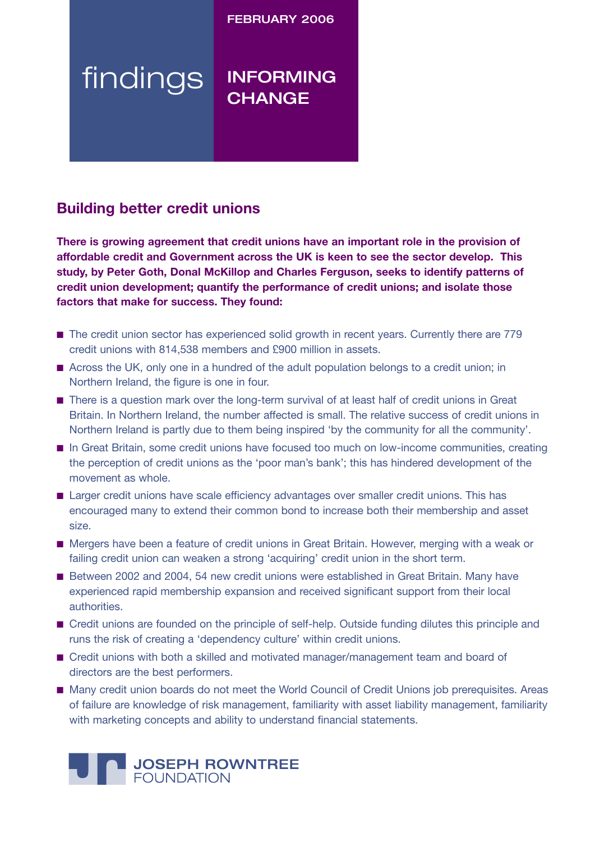FEBRUARY 2006

# findings INFORMING **CHANGE**

# **Building better credit unions**

**There is growing agreement that credit unions have an important role in the provision of affordable credit and Government across the UK is keen to see the sector develop. This study, by Peter Goth, Donal McKillop and Charles Ferguson, seeks to identify patterns of credit union development; quantify the performance of credit unions; and isolate those factors that make for success. They found:**

- The credit union sector has experienced solid growth in recent years. Currently there are 779 credit unions with 814,538 members and £900 million in assets.
- Across the UK, only one in a hundred of the adult population belongs to a credit union; in Northern Ireland, the figure is one in four.
- There is a question mark over the long-term survival of at least half of credit unions in Great Britain. In Northern Ireland, the number affected is small. The relative success of credit unions in Northern Ireland is partly due to them being inspired 'by the community for all the community'.
- In Great Britain, some credit unions have focused too much on low-income communities, creating the perception of credit unions as the 'poor man's bank'; this has hindered development of the movement as whole.
- Larger credit unions have scale efficiency advantages over smaller credit unions. This has encouraged many to extend their common bond to increase both their membership and asset size.
- Mergers have been a feature of credit unions in Great Britain. However, merging with a weak or failing credit union can weaken a strong 'acquiring' credit union in the short term.
- Between 2002 and 2004, 54 new credit unions were established in Great Britain. Many have experienced rapid membership expansion and received significant support from their local authorities.
- Credit unions are founded on the principle of self-help. Outside funding dilutes this principle and runs the risk of creating a 'dependency culture' within credit unions.
- Credit unions with both a skilled and motivated manager/management team and board of directors are the best performers.
- Many credit union boards do not meet the World Council of Credit Unions job prerequisites. Areas of failure are knowledge of risk management, familiarity with asset liability management, familiarity with marketing concepts and ability to understand financial statements.

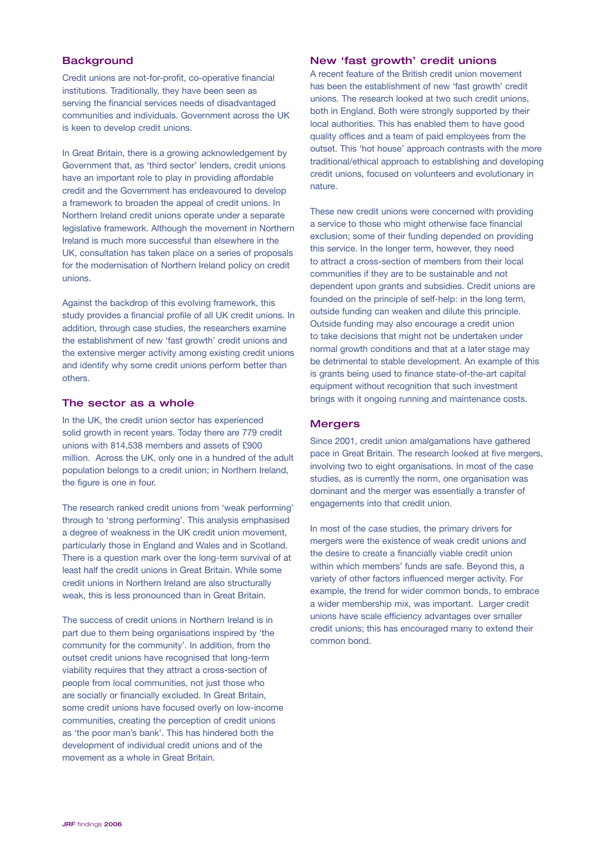## **Background**

Credit unions are not-for-profit, co-operative financial institutions. Traditionally, they have been seen as serving the financial services needs of disadvantaged communities and individuals. Government across the UK is keen to develop credit unions.

In Great Britain, there is a growing acknowledgement by Government that, as 'third sector' lenders, credit unions have an important role to play in providing affordable credit and the Government has endeavoured to develop a framework to broaden the appeal of credit unions. In Northern Ireland credit unions operate under a separate legislative framework. Although the movement in Northern Ireland is much more successful than elsewhere in the UK, consultation has taken place on a series of proposals for the modernisation of Northern Ireland policy on credit unions.

Against the backdrop of this evolving framework, this study provides a financial profile of all UK credit unions. In addition, through case studies, the researchers examine the establishment of new 'fast growth' credit unions and the extensive merger activity among existing credit unions and identify why some credit unions perform better than others.

#### The sector as a whole

In the UK, the credit union sector has experienced solid growth in recent years. Today there are 779 credit unions with 814,538 members and assets of £900 million. Across the UK, only one in a hundred of the adult population belongs to a credit union; in Northern Ireland, the figure is one in four.

The research ranked credit unions from 'weak performing' through to 'strong performing'. This analysis emphasised a degree of weakness in the UK credit union movement, particularly those in England and Wales and in Scotland. There is a question mark over the long-term survival of at least half the credit unions in Great Britain. While some credit unions in Northern Ireland are also structurally weak, this is less pronounced than in Great Britain.

The success of credit unions in Northern Ireland is in part due to them being organisations inspired by 'the community for the community'. In addition, from the outset credit unions have recognised that long-term viability requires that they attract a cross-section of people from local communities, not just those who are socially or financially excluded. In Great Britain, some credit unions have focused overly on low-income communities, creating the perception of credit unions as 'the poor man's bank'. This has hindered both the development of individual credit unions and of the movement as a whole in Great Britain.

### New 'fast growth' credit unions

A recent feature of the British credit union movement has been the establishment of new 'fast growth' credit unions. The research looked at two such credit unions, both in England. Both were strongly supported by their local authorities. This has enabled them to have good quality offices and a team of paid employees from the outset. This 'hot house' approach contrasts with the more traditional/ethical approach to establishing and developing credit unions, focused on volunteers and evolutionary in nature.

These new credit unions were concerned with providing a service to those who might otherwise face financial exclusion; some of their funding depended on providing this service. In the longer term, however, they need to attract a cross-section of members from their local communities if they are to be sustainable and not dependent upon grants and subsidies. Credit unions are founded on the principle of self-help: in the long term, outside funding can weaken and dilute this principle. Outside funding may also encourage a credit union to take decisions that might not be undertaken under normal growth conditions and that at a later stage may be detrimental to stable development. An example of this is grants being used to finance state-of-the-art capital equipment without recognition that such investment brings with it ongoing running and maintenance costs.

#### **Mergers**

Since 2001, credit union amalgamations have gathered pace in Great Britain. The research looked at five mergers, involving two to eight organisations. In most of the case studies, as is currently the norm, one organisation was dominant and the merger was essentially a transfer of engagements into that credit union.

In most of the case studies, the primary drivers for mergers were the existence of weak credit unions and the desire to create a financially viable credit union within which members' funds are safe. Beyond this, a variety of other factors influenced merger activity. For example, the trend for wider common bonds, to embrace a wider membership mix, was important. Larger credit unions have scale efficiency advantages over smaller credit unions; this has encouraged many to extend their common bond.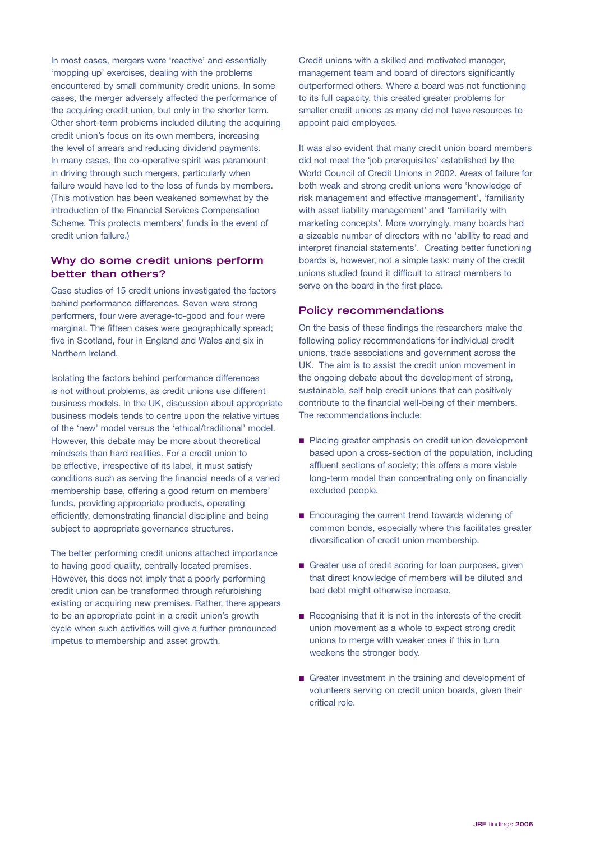In most cases, mergers were 'reactive' and essentially 'mopping up' exercises, dealing with the problems encountered by small community credit unions. In some cases, the merger adversely affected the performance of the acquiring credit union, but only in the shorter term. Other short-term problems included diluting the acquiring credit union's focus on its own members, increasing the level of arrears and reducing dividend payments. In many cases, the co-operative spirit was paramount in driving through such mergers, particularly when failure would have led to the loss of funds by members. (This motivation has been weakened somewhat by the introduction of the Financial Services Compensation Scheme. This protects members' funds in the event of credit union failure.)

# Why do some credit unions perform better than others?

Case studies of 15 credit unions investigated the factors behind performance differences. Seven were strong performers, four were average-to-good and four were marginal. The fifteen cases were geographically spread; five in Scotland, four in England and Wales and six in Northern Ireland.

Isolating the factors behind performance differences is not without problems, as credit unions use different business models. In the UK, discussion about appropriate business models tends to centre upon the relative virtues of the 'new' model versus the 'ethical/traditional' model. However, this debate may be more about theoretical mindsets than hard realities. For a credit union to be effective, irrespective of its label, it must satisfy conditions such as serving the financial needs of a varied membership base, offering a good return on members' funds, providing appropriate products, operating efficiently, demonstrating financial discipline and being subject to appropriate governance structures.

The better performing credit unions attached importance to having good quality, centrally located premises. However, this does not imply that a poorly performing credit union can be transformed through refurbishing existing or acquiring new premises. Rather, there appears to be an appropriate point in a credit union's growth cycle when such activities will give a further pronounced impetus to membership and asset growth.

Credit unions with a skilled and motivated manager, management team and board of directors significantly outperformed others. Where a board was not functioning to its full capacity, this created greater problems for smaller credit unions as many did not have resources to appoint paid employees.

It was also evident that many credit union board members did not meet the 'job prerequisites' established by the World Council of Credit Unions in 2002. Areas of failure for both weak and strong credit unions were 'knowledge of risk management and effective management', 'familiarity with asset liability management' and 'familiarity with marketing concepts'. More worryingly, many boards had a sizeable number of directors with no 'ability to read and interpret financial statements'. Creating better functioning boards is, however, not a simple task: many of the credit unions studied found it difficult to attract members to serve on the board in the first place.

#### Policy recommendations

On the basis of these findings the researchers make the following policy recommendations for individual credit unions, trade associations and government across the UK. The aim is to assist the credit union movement in the ongoing debate about the development of strong, sustainable, self help credit unions that can positively contribute to the financial well-being of their members. The recommendations include:

- Placing greater emphasis on credit union development based upon a cross-section of the population, including affluent sections of society; this offers a more viable long-term model than concentrating only on financially excluded people.
- Encouraging the current trend towards widening of common bonds, especially where this facilitates greater diversification of credit union membership.
- Greater use of credit scoring for loan purposes, given that direct knowledge of members will be diluted and bad debt might otherwise increase.
- Recognising that it is not in the interests of the credit union movement as a whole to expect strong credit unions to merge with weaker ones if this in turn weakens the stronger body.
- Greater investment in the training and development of volunteers serving on credit union boards, given their critical role.